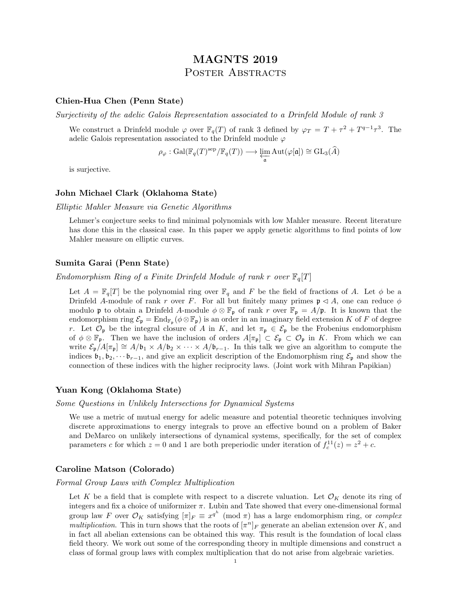# MAGNTS 2019 POSTER ABSTRACTS

## Chien-Hua Chen (Penn State)

Surjectivity of the adelic Galois Representation associated to a Drinfeld Module of rank 3

We construct a Drinfeld module  $\varphi$  over  $\mathbb{F}_q(T)$  of rank 3 defined by  $\varphi_T = T + \tau^2 + T^{q-1}\tau^3$ . The adelic Galois representation associated to the Drinfeld module  $\varphi$ 

$$
\rho_{\varphi} : \mathrm{Gal}(\mathbb{F}_q(T)^{\mathrm{sep}}/\mathbb{F}_q(T)) \longrightarrow \varprojlim_{\mathfrak{a}} \mathrm{Aut}(\varphi[\mathfrak{a}]) \cong \mathrm{GL}_3(\widehat{A})
$$

is surjective.

## John Michael Clark (Oklahoma State)

Elliptic Mahler Measure via Genetic Algorithms

Lehmer's conjecture seeks to find minimal polynomials with low Mahler measure. Recent literature has done this in the classical case. In this paper we apply genetic algorithms to find points of low Mahler measure on elliptic curves.

## Sumita Garai (Penn State)

Endomorphism Ring of a Finite Drinfeld Module of rank r over  $\mathbb{F}_q[T]$ 

Let  $A = \mathbb{F}_q[T]$  be the polynomial ring over  $\mathbb{F}_q$  and F be the field of fractions of A. Let  $\phi$  be a Drinfeld A-module of rank r over F. For all but finitely many primes  $\mathfrak{p} \triangleleft A$ , one can reduce  $\phi$ modulo **p** to obtain a Drinfeld A-module  $\phi \otimes \mathbb{F}_p$  of rank r over  $\mathbb{F}_p = A/p$ . It is known that the endomorphism ring  $\mathcal{E}_{\mathfrak{p}} = \text{End}_{\mathbb{F}_{\mathfrak{p}}}(\phi \otimes \mathbb{F}_{\mathfrak{p}})$  is an order in an imaginary field extension K of F of degree r. Let  $\mathcal{O}_{\mathfrak{p}}$  be the integral closure of A in K, and let  $\pi_{\mathfrak{p}} \in \mathcal{E}_{\mathfrak{p}}$  be the Frobenius endomorphism of  $\phi \otimes \mathbb{F}_p$ . Then we have the inclusion of orders  $A[\pi_p] \subset \mathcal{E}_p \subset \mathcal{O}_p$  in K. From which we can write  $\mathcal{E}_{p}/A[\pi_{p}] \cong A/\mathfrak{b}_{1} \times A/\mathfrak{b}_{2} \times \cdots \times A/\mathfrak{b}_{r-1}$ . In this talk we give an algorithm to compute the indices  $\mathfrak{b}_1, \mathfrak{b}_2, \cdots \mathfrak{b}_{r-1}$ , and give an explicit description of the Endomorphism ring  $\mathcal{E}_{\mathfrak{p}}$  and show the connection of these indices with the higher reciprocity laws. (Joint work with Mihran Papikian)

## Yuan Kong (Oklahoma State)

Some Questions in Unlikely Intersections for Dynamical Systems

We use a metric of mutual energy for adelic measure and potential theoretic techniques involving discrete approximations to energy integrals to prove an effective bound on a problem of Baker and DeMarco on unlikely intersections of dynamical systems, specifically, for the set of complex parameters c for which  $z = 0$  and 1 are both preperiodic under iteration of  $f_c^{11}(z) = z^2 + c$ .

## Caroline Matson (Colorado)

Formal Group Laws with Complex Multiplication

Let K be a field that is complete with respect to a discrete valuation. Let  $\mathcal{O}_K$  denote its ring of integers and fix a choice of uniformizer  $\pi$ . Lubin and Tate showed that every one-dimensional formal group law F over  $\mathcal{O}_K$  satisfying  $[\pi]_F \equiv x^{q^h} \pmod{\pi}$  has a large endomorphism ring, or *complex* multiplication. This in turn shows that the roots of  $[\pi^n]_F$  generate an abelian extension over K, and in fact all abelian extensions can be obtained this way. This result is the foundation of local class field theory. We work out some of the corresponding theory in multiple dimensions and construct a class of formal group laws with complex multiplication that do not arise from algebraic varieties.